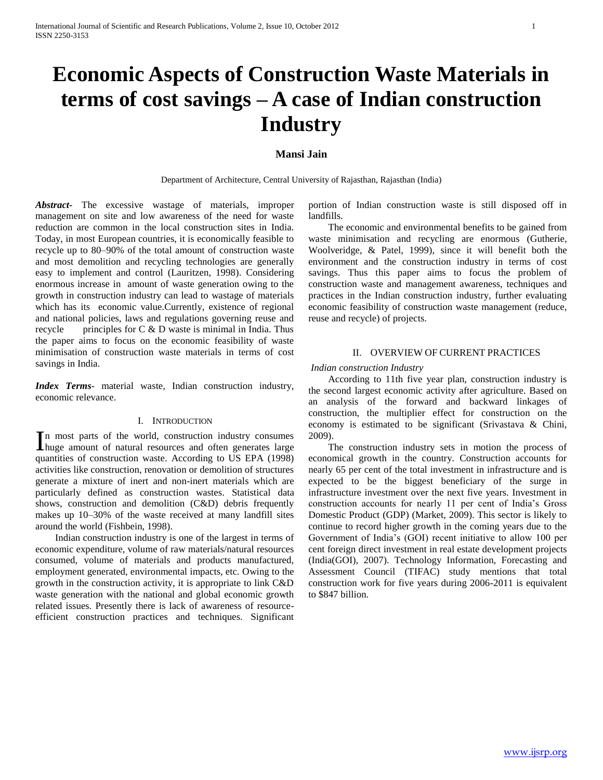# **Economic Aspects of Construction Waste Materials in terms of cost savings – A case of Indian construction Industry**

## **Mansi Jain**

Department of Architecture, Central University of Rajasthan, Rajasthan (India)

*Abstract***-** The excessive wastage of materials, improper management on site and low awareness of the need for waste reduction are common in the local construction sites in India. Today, in most European countries, it is economically feasible to recycle up to 80–90% of the total amount of construction waste and most demolition and recycling technologies are generally easy to implement and control (Lauritzen, 1998). Considering enormous increase in amount of waste generation owing to the growth in construction industry can lead to wastage of materials which has its economic value. Currently, existence of regional and national policies, laws and regulations governing reuse and recycle principles for  $C & D$  waste is minimal in India. Thus the paper aims to focus on the economic feasibility of waste minimisation of construction waste materials in terms of cost savings in India.

*Index Terms*- material waste, Indian construction industry, economic relevance.

## I. INTRODUCTION

n most parts of the world, construction industry consumes In most parts of the world, construction industry consumes<br>huge amount of natural resources and often generates large quantities of construction waste. According to US EPA (1998) activities like construction, renovation or demolition of structures generate a mixture of inert and non-inert materials which are particularly defined as construction wastes. Statistical data shows, construction and demolition (C&D) debris frequently makes up 10–30% of the waste received at many landfill sites around the world (Fishbein, 1998).

 Indian construction industry is one of the largest in terms of economic expenditure, volume of raw materials/natural resources consumed, volume of materials and products manufactured, employment generated, environmental impacts, etc. Owing to the growth in the construction activity, it is appropriate to link C&D waste generation with the national and global economic growth related issues. Presently there is lack of awareness of resourceefficient construction practices and techniques. Significant portion of Indian construction waste is still disposed off in landfills.

 The economic and environmental benefits to be gained from waste minimisation and recycling are enormous (Gutherie, Woolveridge, & Patel, 1999), since it will benefit both the environment and the construction industry in terms of cost savings. Thus this paper aims to focus the problem of construction waste and management awareness, techniques and practices in the Indian construction industry, further evaluating economic feasibility of construction waste management (reduce, reuse and recycle) of projects.

## II. OVERVIEW OF CURRENT PRACTICES

#### *Indian construction Industry*

 According to 11th five year plan, construction industry is the second largest economic activity after agriculture. Based on an analysis of the forward and backward linkages of construction, the multiplier effect for construction on the economy is estimated to be significant (Srivastava & Chini, 2009).

 The construction industry sets in motion the process of economical growth in the country. Construction accounts for nearly 65 per cent of the total investment in infrastructure and is expected to be the biggest beneficiary of the surge in infrastructure investment over the next five years. Investment in construction accounts for nearly 11 per cent of India"s Gross Domestic Product (GDP) (Market, 2009). This sector is likely to continue to record higher growth in the coming years due to the Government of India"s (GOI) recent initiative to allow 100 per cent foreign direct investment in real estate development projects (India(GOI), 2007). Technology Information, Forecasting and Assessment Council (TIFAC) study mentions that total construction work for five years during 2006-2011 is equivalent to \$847 billion.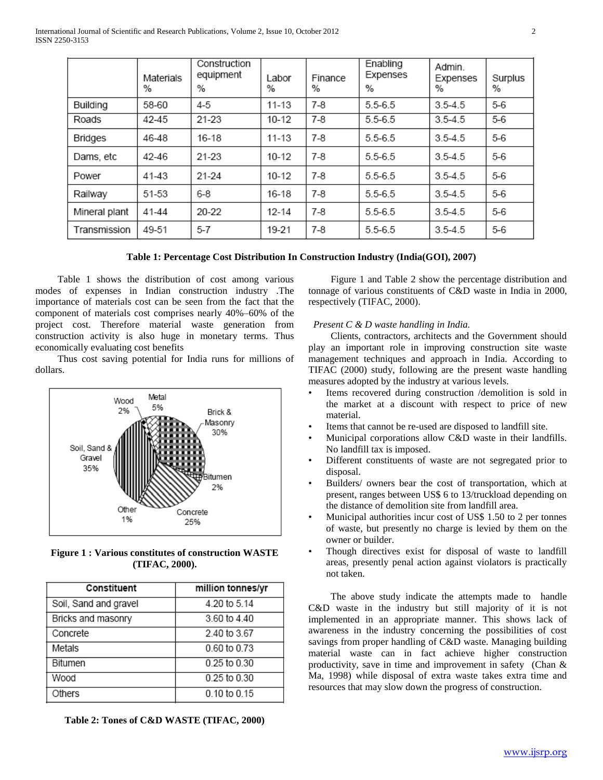|               | Materials<br>% | Construction<br>equipment<br>% | Labor<br>% | Finance<br>% | Enabling<br>Expenses<br>% | Admin.<br>Expenses<br>% | Surplus<br>% |
|---------------|----------------|--------------------------------|------------|--------------|---------------------------|-------------------------|--------------|
| Building      | 58-60          | $4 - 5$                        | $11 - 13$  | $7-8$        | $5.5 - 6.5$               | $3.5 - 4.5$             | $5-6$        |
| Roads         | 42-45          | 21-23                          | 10-12      | $7-8$        | $5.5 - 6.5$               | $3.5 - 4.5$             | $5-6$        |
| Bridges       | 46-48          | 16-18                          | $11 - 13$  | $7-8$        | $5.5 - 6.5$               | $3.5 - 4.5$             | $5-6$        |
| Dams, etc     | 42-46          | 21-23                          | $10-12$    | $7-8$        | $5.5 - 6.5$               | $3.5 - 4.5$             | $5-6$        |
| Power         | 41-43          | 21-24                          | 10-12      | $7-8$        | $5.5 - 6.5$               | $3.5 - 4.5$             | $5-6$        |
| Railway       | 51-53          | $6-8$                          | 16-18      | $7-8$        | $5.5 - 6.5$               | $3.5 - 4.5$             | $5-6$        |
| Mineral plant | 41-44          | 20-22                          | 12-14      | $7-8$        | $5.5 - 6.5$               | $3.5 - 4.5$             | $5 - 6$      |
| Transmission  | 49-51          | $5 - 7$                        | 19-21      | $7-8$        | $5.5 - 6.5$               | $3.5 - 4.5$             | $5-6$        |

| Table 1: Percentage Cost Distribution In Construction Industry (India(GOI), 2007) |  |  |  |  |  |
|-----------------------------------------------------------------------------------|--|--|--|--|--|
|-----------------------------------------------------------------------------------|--|--|--|--|--|

 Table 1 shows the distribution of cost among various modes of expenses in Indian construction industry .The importance of materials cost can be seen from the fact that the component of materials cost comprises nearly 40%–60% of the project cost. Therefore material waste generation from construction activity is also huge in monetary terms. Thus economically evaluating cost benefits

 Thus cost saving potential for India runs for millions of dollars.



**Figure 1 : Various constitutes of construction WASTE (TIFAC, 2000).**

| Constituent           | million tonnes/yr |  |  |
|-----------------------|-------------------|--|--|
| Soil, Sand and gravel | 4.20 to 5.14      |  |  |
| Bricks and masonry    | 3.60 to 4.40      |  |  |
| Concrete              | 2.40 to 3.67      |  |  |
| Metals                | 0.60 to 0.73      |  |  |
| Bitumen               | 0.25 to 0.30      |  |  |
| Wood                  | 0.25 to 0.30      |  |  |
| Others                | 0.10 to 0.15      |  |  |

**Table 2: Tones of C&D WASTE (TIFAC, 2000)**

 Figure 1 and Table 2 show the percentage distribution and tonnage of various constituents of C&D waste in India in 2000, respectively (TIFAC, 2000).

### *Present C & D waste handling in India.*

 Clients, contractors, architects and the Government should play an important role in improving construction site waste management techniques and approach in India. According to TIFAC (2000) study, following are the present waste handling measures adopted by the industry at various levels.

- Items recovered during construction /demolition is sold in the market at a discount with respect to price of new material.
- Items that cannot be re-used are disposed to landfill site.
- Municipal corporations allow C&D waste in their landfills. No landfill tax is imposed.
- Different constituents of waste are not segregated prior to disposal.
- Builders/ owners bear the cost of transportation, which at present, ranges between US\$ 6 to 13/truckload depending on the distance of demolition site from landfill area.
- Municipal authorities incur cost of US\$ 1.50 to 2 per tonnes of waste, but presently no charge is levied by them on the owner or builder.
- Though directives exist for disposal of waste to landfill areas, presently penal action against violators is practically not taken.

 The above study indicate the attempts made to handle C&D waste in the industry but still majority of it is not implemented in an appropriate manner. This shows lack of awareness in the industry concerning the possibilities of cost savings from proper handling of C&D waste. Managing building material waste can in fact achieve higher construction productivity, save in time and improvement in safety (Chan & Ma, 1998) while disposal of extra waste takes extra time and resources that may slow down the progress of construction.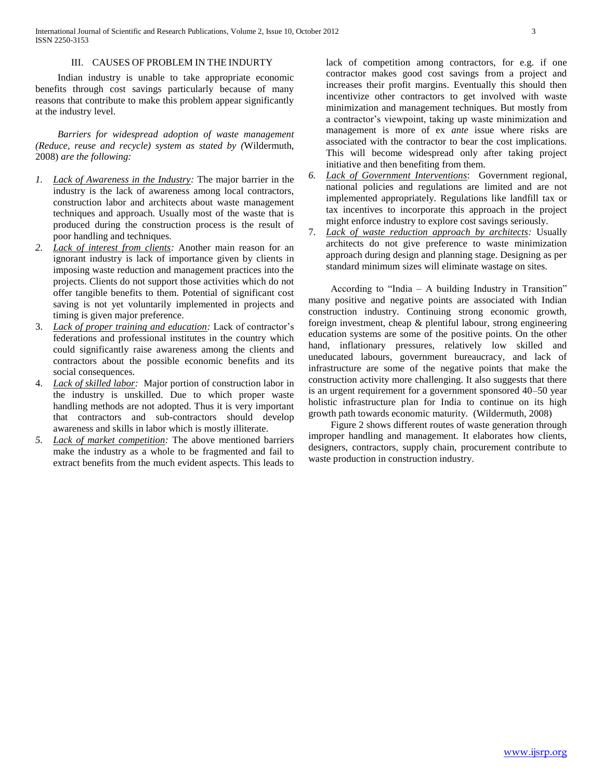#### III. CAUSES OF PROBLEM IN THE INDURTY

 Indian industry is unable to take appropriate economic benefits through cost savings particularly because of many reasons that contribute to make this problem appear significantly at the industry level.

 *Barriers for widespread adoption of waste management (Reduce, reuse and recycle) system as stated by (*Wildermuth, 2008) *are the following:*

- *1. Lack of Awareness in the Industry:* The major barrier in the industry is the lack of awareness among local contractors, construction labor and architects about waste management techniques and approach. Usually most of the waste that is produced during the construction process is the result of poor handling and techniques.
- *2. Lack of interest from clients:* Another main reason for an ignorant industry is lack of importance given by clients in imposing waste reduction and management practices into the projects. Clients do not support those activities which do not offer tangible benefits to them. Potential of significant cost saving is not yet voluntarily implemented in projects and timing is given major preference.
- 3. *Lack of proper training and education:* Lack of contractor"s federations and professional institutes in the country which could significantly raise awareness among the clients and contractors about the possible economic benefits and its social consequences.
- 4. *Lack of skilled labor:* Major portion of construction labor in the industry is unskilled. Due to which proper waste handling methods are not adopted. Thus it is very important that contractors and sub-contractors should develop awareness and skills in labor which is mostly illiterate.
- *5. Lack of market competition:* The above mentioned barriers make the industry as a whole to be fragmented and fail to extract benefits from the much evident aspects. This leads to

lack of competition among contractors, for e.g. if one contractor makes good cost savings from a project and increases their profit margins. Eventually this should then incentivize other contractors to get involved with waste minimization and management techniques. But mostly from a contractor's viewpoint, taking up waste minimization and management is more of ex *ante* issue where risks are associated with the contractor to bear the cost implications. This will become widespread only after taking project initiative and then benefiting from them.

- *6. Lack of Government Interventions*: Government regional, national policies and regulations are limited and are not implemented appropriately. Regulations like landfill tax or tax incentives to incorporate this approach in the project might enforce industry to explore cost savings seriously.
- 7. *Lack of waste reduction approach by architects:* Usually architects do not give preference to waste minimization approach during design and planning stage. Designing as per standard minimum sizes will eliminate wastage on sites.

 According to "India – A building Industry in Transition" many positive and negative points are associated with Indian construction industry. Continuing strong economic growth, foreign investment, cheap & plentiful labour, strong engineering education systems are some of the positive points. On the other hand, inflationary pressures, relatively low skilled and uneducated labours, government bureaucracy, and lack of infrastructure are some of the negative points that make the construction activity more challenging. It also suggests that there is an urgent requirement for a government sponsored 40–50 year holistic infrastructure plan for India to continue on its high growth path towards economic maturity. (Wildermuth, 2008)

 Figure 2 shows different routes of waste generation through improper handling and management. It elaborates how clients, designers, contractors, supply chain, procurement contribute to waste production in construction industry.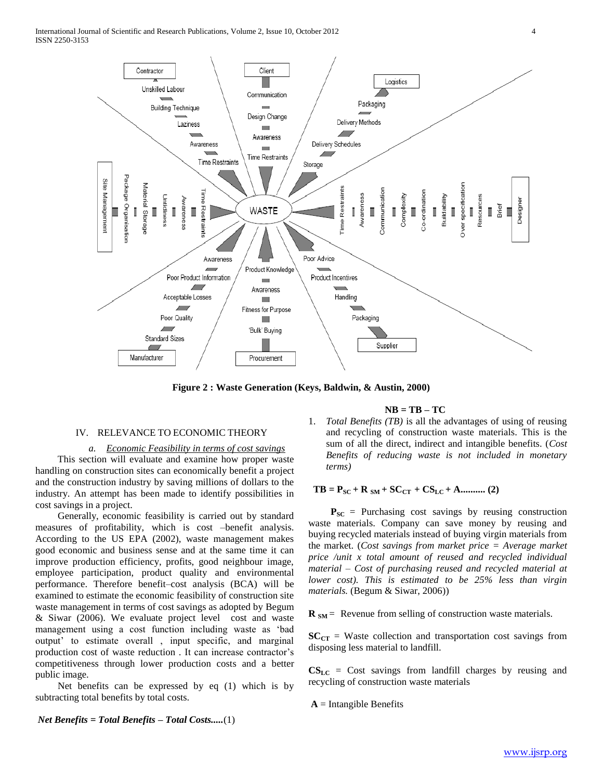International Journal of Scientific and Research Publications, Volume 2, Issue 10, October 2012 4 ISSN 2250-3153



**Figure 2 : Waste Generation (Keys, Baldwin, & Austin, 2000)**

#### IV. RELEVANCE TO ECONOMIC THEORY

#### *a. Economic Feasibility in terms of cost savings*

 This section will evaluate and examine how proper waste handling on construction sites can economically benefit a project and the construction industry by saving millions of dollars to the industry. An attempt has been made to identify possibilities in cost savings in a project.

 Generally, economic feasibility is carried out by standard measures of profitability, which is cost –benefit analysis. According to the US EPA (2002), waste management makes good economic and business sense and at the same time it can improve production efficiency, profits, good neighbour image, employee participation, product quality and environmental performance. Therefore benefit–cost analysis (BCA) will be examined to estimate the economic feasibility of construction site waste management in terms of cost savings as adopted by Begum & Siwar (2006). We evaluate project level cost and waste management using a cost function including waste as "bad output" to estimate overall , input specific, and marginal production cost of waste reduction . It can increase contractor"s competitiveness through lower production costs and a better public image.

 Net benefits can be expressed by eq (1) which is by subtracting total benefits by total costs.

**NB = TB – TC**

1. *Total Benefits (TB)* is all the advantages of using of reusing and recycling of construction waste materials. This is the sum of all the direct, indirect and intangible benefits. (*Cost Benefits of reducing waste is not included in monetary terms)*

$$
TB = P_{SC} + R_{SM} + SC_{CT} + CS_{LC} + A
$$
........(2)

 $P_{SC}$  = Purchasing cost savings by reusing construction waste materials. Company can save money by reusing and buying recycled materials instead of buying virgin materials from the market. (*Cost savings from market price = Average market price /unit x total amount of reused and recycled individual material – Cost of purchasing reused and recycled material at lower cost). This is estimated to be 25% less than virgin materials.* (Begum & Siwar, 2006))

 $\bf{R}_{\text{SM}}$  = Revenue from selling of construction waste materials.

 $SC<sub>CT</sub>$  = Waste collection and transportation cost savings from disposing less material to landfill.

 $CS_{LC}$  = Cost savings from landfill charges by reusing and recycling of construction waste materials

 $A = Intangible$  Benefits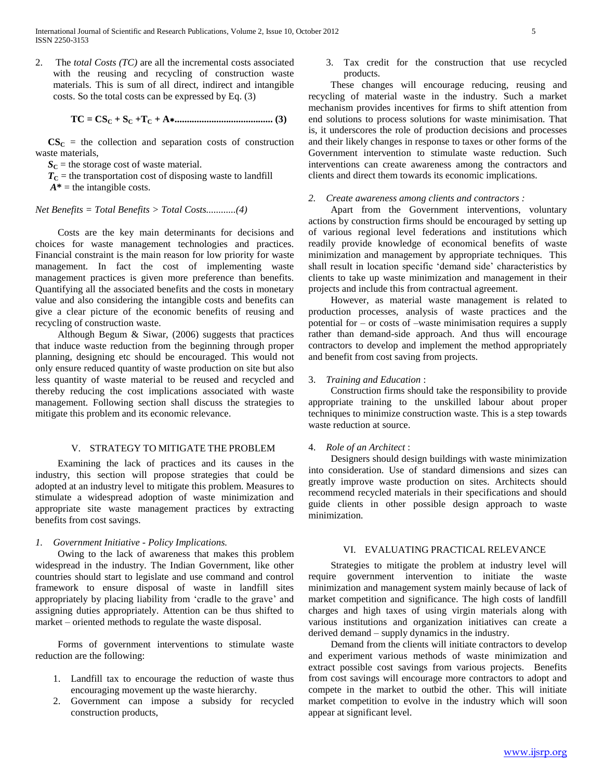2. The *total Costs (TC)* are all the incremental costs associated with the reusing and recycling of construction waste materials. This is sum of all direct, indirect and intangible costs. So the total costs can be expressed by Eq. (3)

**TC = CS<sup>C</sup> + S<sup>C</sup> +T<sup>C</sup> + A**∗**........................................ (3)**

 $CS<sub>C</sub>$  = the collection and separation costs of construction waste materials,

 $S_C$  = the storage cost of waste material.

 $T_c$  = the transportation cost of disposing waste to landfill

 $A^*$  = the intangible costs.

## *Net Benefits = Total Benefits > Total Costs............(4)*

 Costs are the key main determinants for decisions and choices for waste management technologies and practices. Financial constraint is the main reason for low priority for waste management. In fact the cost of implementing waste management practices is given more preference than benefits. Quantifying all the associated benefits and the costs in monetary value and also considering the intangible costs and benefits can give a clear picture of the economic benefits of reusing and recycling of construction waste.

 Although Begum & Siwar, (2006) suggests that practices that induce waste reduction from the beginning through proper planning, designing etc should be encouraged. This would not only ensure reduced quantity of waste production on site but also less quantity of waste material to be reused and recycled and thereby reducing the cost implications associated with waste management. Following section shall discuss the strategies to mitigate this problem and its economic relevance.

#### V. STRATEGY TO MITIGATE THE PROBLEM

 Examining the lack of practices and its causes in the industry, this section will propose strategies that could be adopted at an industry level to mitigate this problem. Measures to stimulate a widespread adoption of waste minimization and appropriate site waste management practices by extracting benefits from cost savings.

#### *1. Government Initiative - Policy Implications.*

 Owing to the lack of awareness that makes this problem widespread in the industry. The Indian Government, like other countries should start to legislate and use command and control framework to ensure disposal of waste in landfill sites appropriately by placing liability from "cradle to the grave" and assigning duties appropriately. Attention can be thus shifted to market – oriented methods to regulate the waste disposal.

 Forms of government interventions to stimulate waste reduction are the following:

- 1. Landfill tax to encourage the reduction of waste thus encouraging movement up the waste hierarchy.
- 2. Government can impose a subsidy for recycled construction products,

3. Tax credit for the construction that use recycled products.

 These changes will encourage reducing, reusing and recycling of material waste in the industry. Such a market mechanism provides incentives for firms to shift attention from end solutions to process solutions for waste minimisation. That is, it underscores the role of production decisions and processes and their likely changes in response to taxes or other forms of the Government intervention to stimulate waste reduction. Such interventions can create awareness among the contractors and clients and direct them towards its economic implications.

#### *2. Create awareness among clients and contractors :*

 Apart from the Government interventions, voluntary actions by construction firms should be encouraged by setting up of various regional level federations and institutions which readily provide knowledge of economical benefits of waste minimization and management by appropriate techniques. This shall result in location specific "demand side" characteristics by clients to take up waste minimization and management in their projects and include this from contractual agreement.

 However, as material waste management is related to production processes, analysis of waste practices and the potential for – or costs of –waste minimisation requires a supply rather than demand-side approach. And thus will encourage contractors to develop and implement the method appropriately and benefit from cost saving from projects.

#### 3. *Training and Education* :

 Construction firms should take the responsibility to provide appropriate training to the unskilled labour about proper techniques to minimize construction waste. This is a step towards waste reduction at source.

#### 4. *Role of an Architect* :

 Designers should design buildings with waste minimization into consideration. Use of standard dimensions and sizes can greatly improve waste production on sites. Architects should recommend recycled materials in their specifications and should guide clients in other possible design approach to waste minimization.

## VI. EVALUATING PRACTICAL RELEVANCE

 Strategies to mitigate the problem at industry level will require government intervention to initiate the waste minimization and management system mainly because of lack of market competition and significance. The high costs of landfill charges and high taxes of using virgin materials along with various institutions and organization initiatives can create a derived demand – supply dynamics in the industry.

 Demand from the clients will initiate contractors to develop and experiment various methods of waste minimization and extract possible cost savings from various projects. Benefits from cost savings will encourage more contractors to adopt and compete in the market to outbid the other. This will initiate market competition to evolve in the industry which will soon appear at significant level.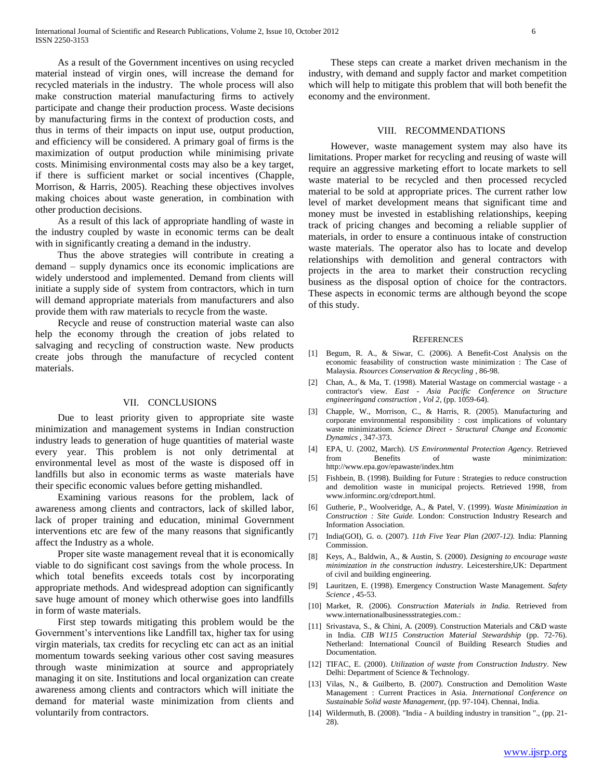As a result of the Government incentives on using recycled material instead of virgin ones, will increase the demand for recycled materials in the industry. The whole process will also make construction material manufacturing firms to actively participate and change their production process. Waste decisions by manufacturing firms in the context of production costs, and thus in terms of their impacts on input use, output production, and efficiency will be considered. A primary goal of firms is the maximization of output production while minimising private costs. Minimising environmental costs may also be a key target, if there is sufficient market or social incentives (Chapple, Morrison, & Harris, 2005). Reaching these objectives involves making choices about waste generation, in combination with other production decisions.

 As a result of this lack of appropriate handling of waste in the industry coupled by waste in economic terms can be dealt with in significantly creating a demand in the industry.

 Thus the above strategies will contribute in creating a demand – supply dynamics once its economic implications are widely understood and implemented. Demand from clients will initiate a supply side of system from contractors, which in turn will demand appropriate materials from manufacturers and also provide them with raw materials to recycle from the waste.

 Recycle and reuse of construction material waste can also help the economy through the creation of jobs related to salvaging and recycling of construction waste. New products create jobs through the manufacture of recycled content materials.

#### VII. CONCLUSIONS

 Due to least priority given to appropriate site waste minimization and management systems in Indian construction industry leads to generation of huge quantities of material waste every year. This problem is not only detrimental at environmental level as most of the waste is disposed off in landfills but also in economic terms as waste materials have their specific economic values before getting mishandled.

 Examining various reasons for the problem, lack of awareness among clients and contractors, lack of skilled labor, lack of proper training and education, minimal Government interventions etc are few of the many reasons that significantly affect the Industry as a whole.

 Proper site waste management reveal that it is economically viable to do significant cost savings from the whole process. In which total benefits exceeds totals cost by incorporating appropriate methods. And widespread adoption can significantly save huge amount of money which otherwise goes into landfills in form of waste materials.

 First step towards mitigating this problem would be the Government's interventions like Landfill tax, higher tax for using virgin materials, tax credits for recycling etc can act as an initial momentum towards seeking various other cost saving measures through waste minimization at source and appropriately managing it on site. Institutions and local organization can create awareness among clients and contractors which will initiate the demand for material waste minimization from clients and voluntarily from contractors.

 These steps can create a market driven mechanism in the industry, with demand and supply factor and market competition which will help to mitigate this problem that will both benefit the economy and the environment.

#### VIII. RECOMMENDATIONS

 However, waste management system may also have its limitations. Proper market for recycling and reusing of waste will require an aggressive marketing effort to locate markets to sell waste material to be recycled and then processed recycled material to be sold at appropriate prices. The current rather low level of market development means that significant time and money must be invested in establishing relationships, keeping track of pricing changes and becoming a reliable supplier of materials, in order to ensure a continuous intake of construction waste materials. The operator also has to locate and develop relationships with demolition and general contractors with projects in the area to market their construction recycling business as the disposal option of choice for the contractors. These aspects in economic terms are although beyond the scope of this study.

#### **REFERENCES**

- [1] Begum, R. A., & Siwar, C. (2006). A Benefit-Cost Analysis on the economic feasability of construction waste minimization : The Case of Malaysia. *Rsources Conservation & Recycling* , 86-98.
- [2] Chan, A., & Ma, T. (1998). Material Wastage on commercial wastage a contractor's view. *East - Asia Pacific Conference on Structure engineeringand construction , Vol 2*, (pp. 1059-64).
- [3] Chapple, W., Morrison, C., & Harris, R. (2005). Manufacturing and corporate environmental responsibility : cost implications of voluntary waste minimizatiom. *Science Direct - Structural Change and Economic Dynamics* , 347-373.
- [4] EPA, U. (2002, March). *US Environmental Protection Agency.* Retrieved from Benefits of waste minimization: http://www.epa.gov/epawaste/index.htm
- [5] Fishbein, B. (1998). Building for Future : Strategies to reduce construction and demolition waste in municipal projects. Retrieved 1998, from www.informinc.org/cdreport.html.
- [6] Gutherie, P., Woolveridge, A., & Patel, V. (1999). *Waste Minimization in Construction : Site Guide.* London: Construction Industry Research and Information Association.
- [7] India(GOI), G. o. (2007). *11th Five Year Plan (2007-12).* India: Planning Commission.
- [8] Keys, A., Baldwin, A., & Austin, S. (2000). *Designing to encourage waste minimization in the construction industry.* Leicestershire,UK: Department of civil and building engineering.
- [9] Lauritzen, E. (1998). Emergency Construction Waste Management. *Safety Science* , 45-53.
- [10] Market, R. (2006). *Construction Materials in India.* Retrieved from www.internationalbusinessstrategies.com.:
- [11] Srivastava, S., & Chini, A. (2009). Construction Materials and C&D waste in India. *CIB W115 Construction Material Stewardship* (pp. 72-76). Netherland: International Council of Building Research Studies and Documentation.
- [12] TIFAC, E. (2000). *Utilization of waste from Construction Industry.* New Delhi: Department of Science & Technology.
- [13] Vilas, N., & Guilberto, B. (2007). Construction and Demolition Waste Management : Current Practices in Asia. *International Conference on Sustainable Solid waste Management*, (pp. 97-104). Chennai, India.
- [14] Wildermuth, B. (2008). "India A building industry in transition "., (pp. 21- 28).